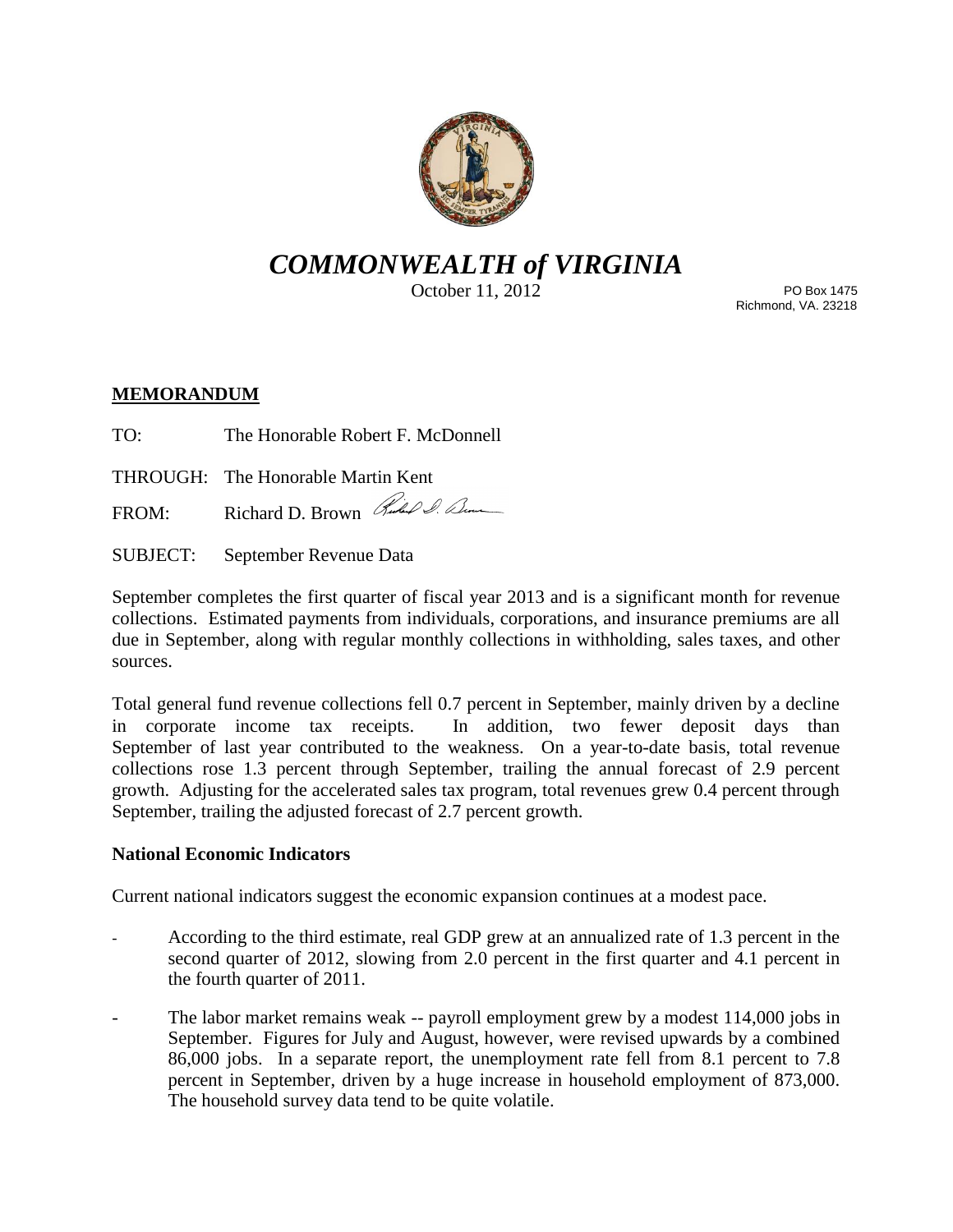

# *COMMONWEALTH of VIRGINIA*

October 11, 2012

PO Box 1475 Richmond, VA. 23218

## **MEMORANDUM**

TO: The Honorable Robert F. McDonnell

THROUGH: The Honorable Martin Kent

FROM: Richard D. Brown Ruchel Sum

SUBJECT: September Revenue Data

September completes the first quarter of fiscal year 2013 and is a significant month for revenue collections. Estimated payments from individuals, corporations, and insurance premiums are all due in September, along with regular monthly collections in withholding, sales taxes, and other sources.

Total general fund revenue collections fell 0.7 percent in September, mainly driven by a decline in corporate income tax receipts. In addition, two fewer deposit days than September of last year contributed to the weakness. On a year-to-date basis, total revenue collections rose 1.3 percent through September, trailing the annual forecast of 2.9 percent growth. Adjusting for the accelerated sales tax program, total revenues grew 0.4 percent through September, trailing the adjusted forecast of 2.7 percent growth.

## **National Economic Indicators**

Current national indicators suggest the economic expansion continues at a modest pace.

- According to the third estimate, real GDP grew at an annualized rate of 1.3 percent in the second quarter of 2012, slowing from 2.0 percent in the first quarter and 4.1 percent in the fourth quarter of 2011.
- The labor market remains weak -- payroll employment grew by a modest 114,000 jobs in September. Figures for July and August, however, were revised upwards by a combined 86,000 jobs. In a separate report, the unemployment rate fell from 8.1 percent to 7.8 percent in September, driven by a huge increase in household employment of 873,000. The household survey data tend to be quite volatile.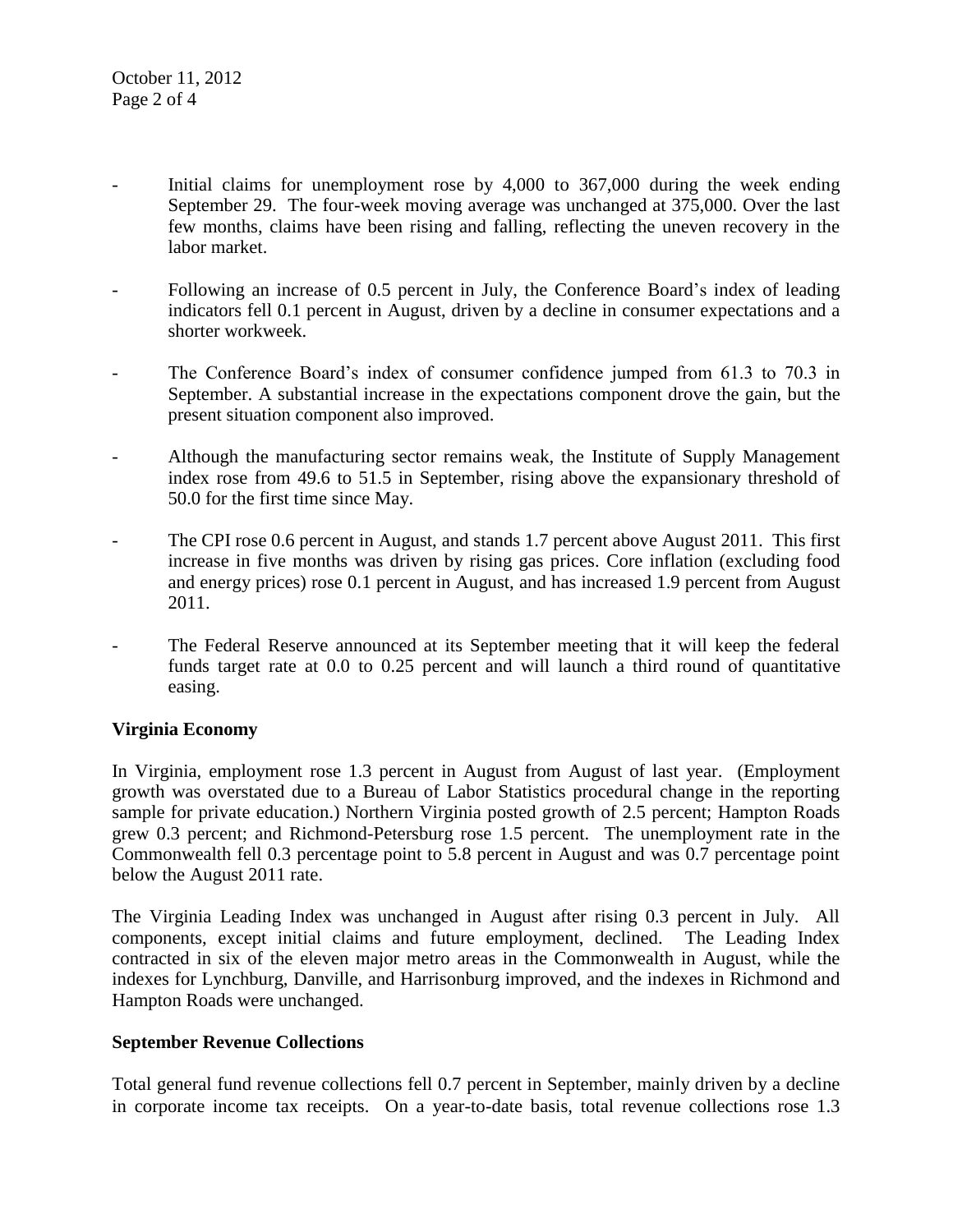- Initial claims for unemployment rose by 4,000 to 367,000 during the week ending September 29. The four-week moving average was unchanged at 375,000. Over the last few months, claims have been rising and falling, reflecting the uneven recovery in the labor market.
- Following an increase of 0.5 percent in July, the Conference Board's index of leading indicators fell 0.1 percent in August, driven by a decline in consumer expectations and a shorter workweek.
- The Conference Board's index of consumer confidence jumped from 61.3 to 70.3 in September. A substantial increase in the expectations component drove the gain, but the present situation component also improved.
- Although the manufacturing sector remains weak, the Institute of Supply Management index rose from 49.6 to 51.5 in September, rising above the expansionary threshold of 50.0 for the first time since May.
- The CPI rose 0.6 percent in August, and stands 1.7 percent above August 2011. This first increase in five months was driven by rising gas prices. Core inflation (excluding food and energy prices) rose 0.1 percent in August, and has increased 1.9 percent from August 2011.
- The Federal Reserve announced at its September meeting that it will keep the federal funds target rate at 0.0 to 0.25 percent and will launch a third round of quantitative easing.

### **Virginia Economy**

In Virginia, employment rose 1.3 percent in August from August of last year. (Employment growth was overstated due to a Bureau of Labor Statistics procedural change in the reporting sample for private education.) Northern Virginia posted growth of 2.5 percent; Hampton Roads grew 0.3 percent; and Richmond-Petersburg rose 1.5 percent. The unemployment rate in the Commonwealth fell 0.3 percentage point to 5.8 percent in August and was 0.7 percentage point below the August 2011 rate.

The Virginia Leading Index was unchanged in August after rising 0.3 percent in July. All components, except initial claims and future employment, declined. The Leading Index contracted in six of the eleven major metro areas in the Commonwealth in August, while the indexes for Lynchburg, Danville, and Harrisonburg improved, and the indexes in Richmond and Hampton Roads were unchanged.

### **September Revenue Collections**

Total general fund revenue collections fell 0.7 percent in September, mainly driven by a decline in corporate income tax receipts. On a year-to-date basis, total revenue collections rose 1.3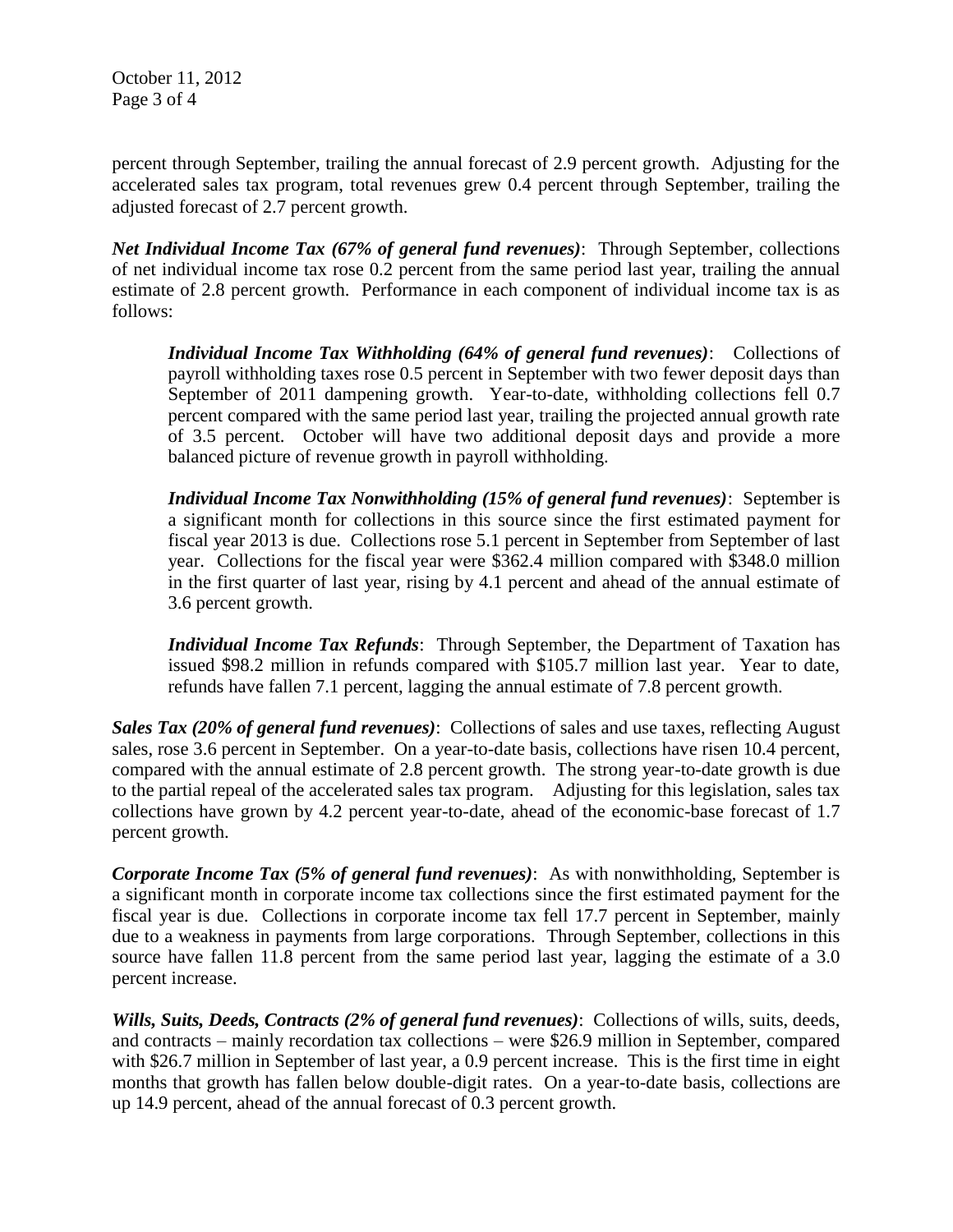October 11, 2012 Page 3 of 4

percent through September, trailing the annual forecast of 2.9 percent growth. Adjusting for the accelerated sales tax program, total revenues grew 0.4 percent through September, trailing the adjusted forecast of 2.7 percent growth.

*Net Individual Income Tax (67% of general fund revenues)*: Through September, collections of net individual income tax rose 0.2 percent from the same period last year, trailing the annual estimate of 2.8 percent growth. Performance in each component of individual income tax is as follows:

*Individual Income Tax Withholding (64% of general fund revenues)*: Collections of payroll withholding taxes rose 0.5 percent in September with two fewer deposit days than September of 2011 dampening growth. Year-to-date, withholding collections fell 0.7 percent compared with the same period last year, trailing the projected annual growth rate of 3.5 percent. October will have two additional deposit days and provide a more balanced picture of revenue growth in payroll withholding.

*Individual Income Tax Nonwithholding (15% of general fund revenues)*: September is a significant month for collections in this source since the first estimated payment for fiscal year 2013 is due. Collections rose 5.1 percent in September from September of last year. Collections for the fiscal year were \$362.4 million compared with \$348.0 million in the first quarter of last year, rising by 4.1 percent and ahead of the annual estimate of 3.6 percent growth.

*Individual Income Tax Refunds*: Through September, the Department of Taxation has issued \$98.2 million in refunds compared with \$105.7 million last year. Year to date, refunds have fallen 7.1 percent, lagging the annual estimate of 7.8 percent growth.

*Sales Tax (20% of general fund revenues)*: Collections of sales and use taxes, reflecting August sales, rose 3.6 percent in September. On a year-to-date basis, collections have risen 10.4 percent, compared with the annual estimate of 2.8 percent growth. The strong year-to-date growth is due to the partial repeal of the accelerated sales tax program. Adjusting for this legislation, sales tax collections have grown by 4.2 percent year-to-date, ahead of the economic-base forecast of 1.7 percent growth.

*Corporate Income Tax (5% of general fund revenues)*: As with nonwithholding, September is a significant month in corporate income tax collections since the first estimated payment for the fiscal year is due. Collections in corporate income tax fell 17.7 percent in September, mainly due to a weakness in payments from large corporations. Through September, collections in this source have fallen 11.8 percent from the same period last year, lagging the estimate of a 3.0 percent increase.

*Wills, Suits, Deeds, Contracts (2% of general fund revenues)*: Collections of wills, suits, deeds, and contracts – mainly recordation tax collections – were \$26.9 million in September, compared with \$26.7 million in September of last year, a 0.9 percent increase. This is the first time in eight months that growth has fallen below double-digit rates. On a year-to-date basis, collections are up 14.9 percent, ahead of the annual forecast of 0.3 percent growth.